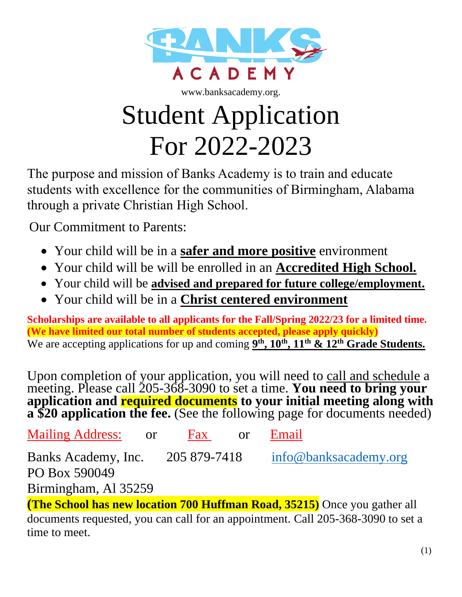

www.banksacademy.org.

# Student Application For 2022-2023

The purpose and mission of Banks Academy is to train and educate students with excellence for the communities of Birmingham, Alabama through a private Christian High School.

Our Commitment to Parents:

- Your child will be in a **safer and more positive** environment
- Your child will be will be enrolled in an **Accredited High School.**
- Your child will be **advised and prepared for future college/employment.**
- Your child will be in a **Christ centered environment**

**Scholarships are available to all applicants for the Fall/Spring 2022/23 for a limited time. (We have limited our total number of students accepted, please apply quickly)** We are accepting applications for up and coming  $9<sup>th</sup>$ ,  $10<sup>th</sup>$ ,  $11<sup>th</sup>$  &  $12<sup>th</sup>$  Grade Students.

Upon completion of your application, you will need to call and schedule a meeting. Please call 205-368-3090 to set a time. **You need to bring your application and required documents to your initial meeting along with a \$20 application the fee.** (See the following page for documents needed)

| Mailing Address: or  | <b>Fax</b>   | <b>or</b> | Email                                                                            |
|----------------------|--------------|-----------|----------------------------------------------------------------------------------|
| Banks Academy, Inc.  | 205 879-7418 |           | info@banksacademy.org                                                            |
| PO Box 590049        |              |           |                                                                                  |
| Birmingham, Al 35259 |              |           |                                                                                  |
|                      |              |           | <b>(The School has new location 700 Huffman Road, 35215)</b> Once you gather all |

documents requested, you can call for an appointment. Call 205-368-3090 to set a time to meet.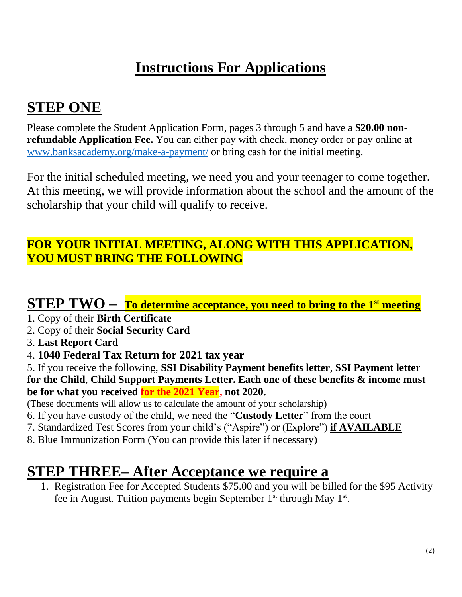# **Instructions For Applications**

# **STEP ONE**

Please complete the Student Application Form, pages 3 through 5 and have a **\$20.00 nonrefundable Application Fee.** You can either pay with check, money order or pay online at [www.banksacademy.org/](http://www.banksacademy.org/)make-a-payment/ or bring cash for the initial meeting.

For the initial scheduled meeting, we need you and your teenager to come together. At this meeting, we will provide information about the school and the amount of the scholarship that your child will qualify to receive.

### **FOR YOUR INITIAL MEETING, ALONG WITH THIS APPLICATION, YOU MUST BRING THE FOLLOWING**

### **STEP TWO – To determine acceptance, you need to bring to the 1 st meeting**

- 1. Copy of their **Birth Certificate**
- 2. Copy of their **Social Security Card**
- 3. **Last Report Card**
- 4. **1040 Federal Tax Return for 2021 tax year**

5. If you receive the following, **SSI Disability Payment benefits letter**, **SSI Payment letter for the Child**, **Child Support Payments Letter. Each one of these benefits & income must be for what you received for the 2021 Year, not 2020.** 

(These documents will allow us to calculate the amount of your scholarship)

- 6. If you have custody of the child, we need the "**Custody Letter**" from the court
- 7. Standardized Test Scores from your child's ("Aspire") or (Explore") **if AVAILABLE**
- 8. Blue Immunization Form (You can provide this later if necessary)

# **STEP THREE– After Acceptance we require a**

1. Registration Fee for Accepted Students \$75.00 and you will be billed for the \$95 Activity fee in August. Tuition payments begin September 1<sup>st</sup> through May 1<sup>st</sup>.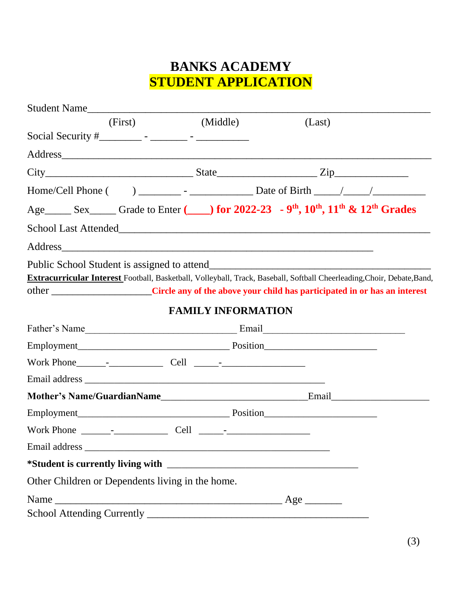# **BANKS ACADEMY STUDENT APPLICATION**

| Student Name                                     |                           |                                                                                                                                                                                                                                    |  |  |  |  |
|--------------------------------------------------|---------------------------|------------------------------------------------------------------------------------------------------------------------------------------------------------------------------------------------------------------------------------|--|--|--|--|
| (First)                                          | (Middle)                  | (Last)                                                                                                                                                                                                                             |  |  |  |  |
|                                                  |                           |                                                                                                                                                                                                                                    |  |  |  |  |
|                                                  |                           |                                                                                                                                                                                                                                    |  |  |  |  |
|                                                  |                           | $City$ $City$ $Zip$ $Step$ $Line$ $Type$                                                                                                                                                                                           |  |  |  |  |
|                                                  |                           |                                                                                                                                                                                                                                    |  |  |  |  |
|                                                  |                           | Age Sex Grade to Enter (2022-23 - 9 <sup>th</sup> , 10 <sup>th</sup> , 11 <sup>th</sup> & 12 <sup>th</sup> Grades                                                                                                                  |  |  |  |  |
|                                                  |                           | School Last Attended                                                                                                                                                                                                               |  |  |  |  |
|                                                  |                           |                                                                                                                                                                                                                                    |  |  |  |  |
|                                                  | <b>FAMILY INFORMATION</b> | Extracurricular Interest Football, Basketball, Volleyball, Track, Baseball, Softball Cheerleading, Choir, Debate, Band,<br>other ________________________Circle any of the above your child has participated in or has an interest |  |  |  |  |
|                                                  |                           |                                                                                                                                                                                                                                    |  |  |  |  |
|                                                  |                           |                                                                                                                                                                                                                                    |  |  |  |  |
|                                                  |                           |                                                                                                                                                                                                                                    |  |  |  |  |
|                                                  |                           |                                                                                                                                                                                                                                    |  |  |  |  |
|                                                  |                           |                                                                                                                                                                                                                                    |  |  |  |  |
|                                                  |                           |                                                                                                                                                                                                                                    |  |  |  |  |
|                                                  |                           |                                                                                                                                                                                                                                    |  |  |  |  |
|                                                  |                           |                                                                                                                                                                                                                                    |  |  |  |  |
|                                                  |                           |                                                                                                                                                                                                                                    |  |  |  |  |
| Other Children or Dependents living in the home. |                           |                                                                                                                                                                                                                                    |  |  |  |  |
|                                                  |                           |                                                                                                                                                                                                                                    |  |  |  |  |
|                                                  |                           |                                                                                                                                                                                                                                    |  |  |  |  |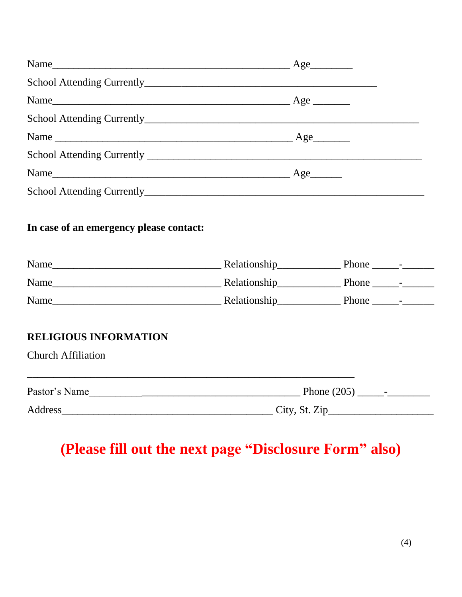| In case of an emergency please contact:                   |  |  |  |  |
|-----------------------------------------------------------|--|--|--|--|
|                                                           |  |  |  |  |
|                                                           |  |  |  |  |
| <b>RELIGIOUS INFORMATION</b><br><b>Church Affiliation</b> |  |  |  |  |
|                                                           |  |  |  |  |
|                                                           |  |  |  |  |

# **(Please fill out the next page "Disclosure Form" also)**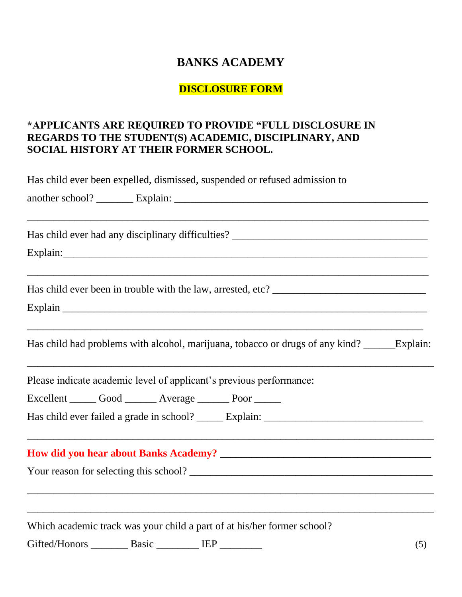### **BANKS ACADEMY**

#### **DISCLOSURE FORM**

#### **\*APPLICANTS ARE REQUIRED TO PROVIDE "FULL DISCLOSURE IN REGARDS TO THE STUDENT(S) ACADEMIC, DISCIPLINARY, AND SOCIAL HISTORY AT THEIR FORMER SCHOOL.**

| Has child ever been expelled, dismissed, suspended or refused admission to                   |     |
|----------------------------------------------------------------------------------------------|-----|
|                                                                                              |     |
|                                                                                              |     |
|                                                                                              |     |
| Has child ever been in trouble with the law, arrested, etc? _____________________            |     |
|                                                                                              |     |
| Has child had problems with alcohol, marijuana, tobacco or drugs of any kind? ______Explain: |     |
| Please indicate academic level of applicant's previous performance:                          |     |
| Excellent _______ Good ________ Average ________ Poor ______                                 |     |
|                                                                                              |     |
|                                                                                              |     |
|                                                                                              |     |
|                                                                                              |     |
| Which academic track was your child a part of at his/her former school?                      |     |
| Gifted/Honors ____________ Basic _____________ IEP __________                                | (5) |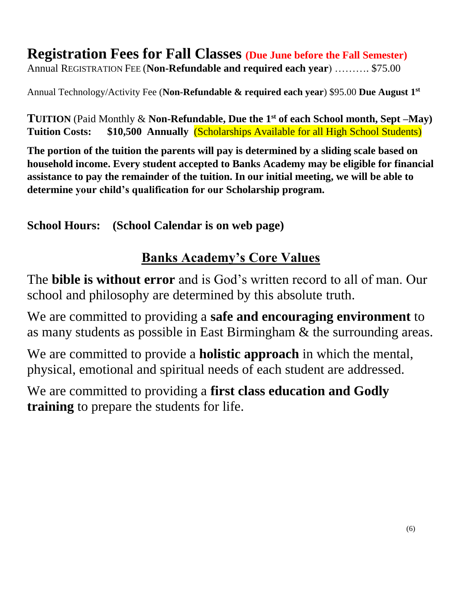### **Registration Fees for Fall Classes (Due June before the Fall Semester)** Annual REGISTRATION FEE (**Non-Refundable and required each year**) ………. \$75.00

Annual Technology/Activity Fee (**Non-Refundable & required each year**) \$95.00 **Due August 1st**

**TUITION** (Paid Monthly & **Non-Refundable, Due the 1st of each School month, Sept –May) Tuition Costs: \$10,500 Annually** (Scholarships Available for all High School Students)

**The portion of the tuition the parents will pay is determined by a sliding scale based on household income. Every student accepted to Banks Academy may be eligible for financial assistance to pay the remainder of the tuition. In our initial meeting, we will be able to determine your child's qualification for our Scholarship program.**

**School Hours: (School Calendar is on web page)** 

# **Banks Academy's Core Values**

The **bible is without error** and is God's written record to all of man. Our school and philosophy are determined by this absolute truth.

We are committed to providing a **safe and encouraging environment** to as many students as possible in East Birmingham & the surrounding areas.

We are committed to provide a **holistic approach** in which the mental, physical, emotional and spiritual needs of each student are addressed.

We are committed to providing a **first class education and Godly training** to prepare the students for life.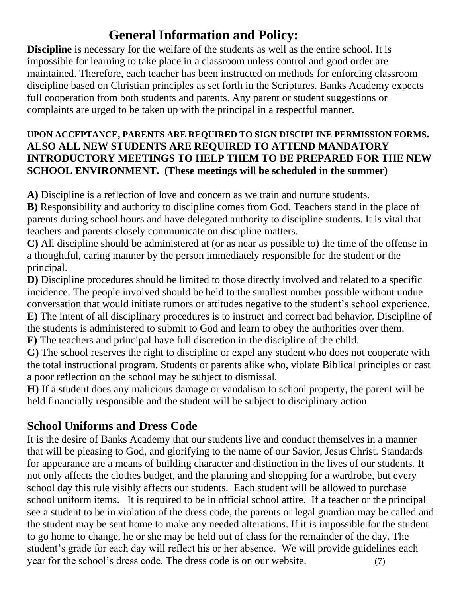# **General Information and Policy:**

**Discipline** is necessary for the welfare of the students as well as the entire school. It is impossible for learning to take place in a classroom unless control and good order are maintained. Therefore, each teacher has been instructed on methods for enforcing classroom discipline based on Christian principles as set forth in the Scriptures. Banks Academy expects full cooperation from both students and parents. Any parent or student suggestions or complaints are urged to be taken up with the principal in a respectful manner.

#### **UPON ACCEPTANCE, PARENTS ARE REQUIRED TO SIGN DISCIPLINE PERMISSION FORMS. ALSO ALL NEW STUDENTS ARE REQUIRED TO ATTEND MANDATORY INTRODUCTORY MEETINGS TO HELP THEM TO BE PREPARED FOR THE NEW SCHOOL ENVIRONMENT. (These meetings will be scheduled in the summer)**

**A)** Discipline is a reflection of love and concern as we train and nurture students.

**B)** Responsibility and authority to discipline comes from God. Teachers stand in the place of parents during school hours and have delegated authority to discipline students. It is vital that teachers and parents closely communicate on discipline matters.

**C)** All discipline should be administered at (or as near as possible to) the time of the offense in a thoughtful, caring manner by the person immediately responsible for the student or the principal.

**D)** Discipline procedures should be limited to those directly involved and related to a specific incidence. The people involved should be held to the smallest number possible without undue conversation that would initiate rumors or attitudes negative to the student's school experience. **E)** The intent of all disciplinary procedures is to instruct and correct bad behavior. Discipline of the students is administered to submit to God and learn to obey the authorities over them.

**F)** The teachers and principal have full discretion in the discipline of the child.

**G)** The school reserves the right to discipline or expel any student who does not cooperate with the total instructional program. Students or parents alike who, violate Biblical principles or cast a poor reflection on the school may be subject to dismissal.

**H)** If a student does any malicious damage or vandalism to school property, the parent will be held financially responsible and the student will be subject to disciplinary action

### **School Uniforms and Dress Code**

It is the desire of Banks Academy that our students live and conduct themselves in a manner that will be pleasing to God, and glorifying to the name of our Savior, Jesus Christ. Standards for appearance are a means of building character and distinction in the lives of our students. It not only affects the clothes budget, and the planning and shopping for a wardrobe, but every school day this rule visibly affects our students. Each student will be allowed to purchase school uniform items. It is required to be in official school attire. If a teacher or the principal see a student to be in violation of the dress code, the parents or legal guardian may be called and the student may be sent home to make any needed alterations. If it is impossible for the student to go home to change, he or she may be held out of class for the remainder of the day. The student's grade for each day will reflect his or her absence. We will provide guidelines each year for the school's dress code. The dress code is on our website. (7)